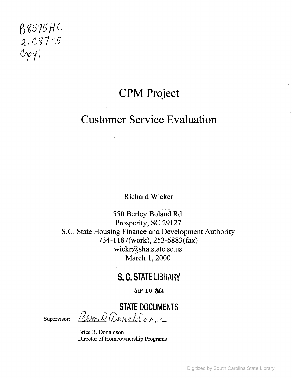$\mathsf{M}\mathsf{M}\mathsf{M}\mathsf{M}\mathsf{M}$ 2. C87 - 5  $CopY$ 1

## **CPM Project**

## **Customer Service Evaluation**

Richard Wicker

550 Berley Boland Rd. Prosperity, SC 29127 S.C. State Housing Finance and Development Authority 734-1187(work),253-6883(fax) wickr@sha.state.sc.us March 1, 2000

### **S. C. STATE LIBRARY**

**SEP 16 2004** 

**STATE DOCUMENTS** Supervisor: *Blice, R Denalds on* 

Brice R. Donaldson Director of Homeownership Programs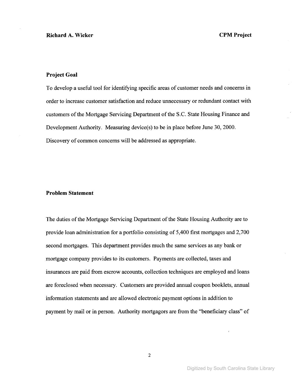#### **Project Goal**

To develop a useful tool for identifying specific areas of customer needs and concerns in order to increase customer satisfaction and reduce unnecessary or redundant contact with customers of the Mortgage Servicing Department of the S.C. State Housing Finance and Development Authority. Measuring device(s) to be in place before June 30, 2000. Discovery of common concerns will be addressed as appropriate.

#### **Problem Statement**

The duties of the Mortgage Servicing Department of the State Housing Authority are to provide loan administration for a portfolio consisting of 5,400 first mortgages and 2,700 second mortgages. This department provides much the same services as any bank or mortgage company provides to its customers. Payments are collected, taxes and insurances are paid from escrow accounts, collection techniques are employed and loans are foreclosed when necessary. Customers are provided annual coupon booklets, annual information statements and are allowed electronic payment options in addition to payment by mail or in person. Authority mortgagors are from the "beneficiary class" of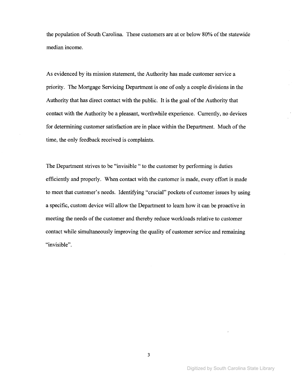the population of South Carolina. These customers are at or below 80% of the statewide median income.

As evidenced by its mission statement, the Authority has made customer service a priority. The Mortgage Servicing Department is one of only a couple divisions in the Authority that has direct contact with the public. It is the goal of the Authority that contact with the Authority be a pleasant, worthwhile experience. Currently, no devices for determining customer satisfaction are in place within the Department. Much of the time, the only feedback received is complaints.

The Department strives to be "invisible" to the customer by performing is duties efficiently and properly. When contact with the customer is made, every effort is made to meet that customer's needs. Identifying "crucial" pockets of customer issues by using a specific, custom device will allow the Department to learn how it can be proactive in meeting the needs of the customer and thereby reduce workloads relative to customer contact while simultaneously improving the quality of customer service and remaining "invisible".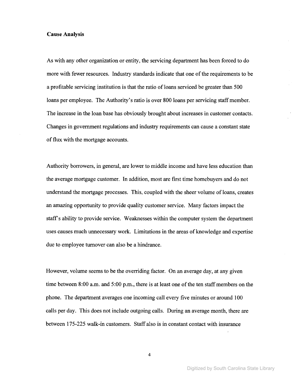#### **Cause Analysis**

As with any other organization or entity, the servicing department has been forced to do more with fewer resources. Industry standards indicate that one of the requirements to be a profitable servicing institution is that the ratio of loans serviced be greater than 500 loans per employee. The Authority's ratio is over 800 loans per servicing staff member. The increase in the loan base has obviously brought about increases in customer contacts. Changes in government regulations and industry requirements can cause a constant state of flux with the mortgage accounts.

Authority borrowers, in general, are lower to middle income and have less education than the average mortgage customer. In addition, most are first time homebuyers and do not understand the mortgage processes. This, coupled with the sheer volume of loans, creates an amazing opportunity to provide quality customer service. Many factors impact the staff's ability to provide service. Weaknesses within the computer system the department uses causes much unnecessary work. Limitations in the areas of knowledge and expertise due to employee turnover can also be a hindrance.

However, volume seems to be the overriding factor. On an average day, at any given time between  $8:00$  a.m. and  $5:00$  p.m., there is at least one of the ten staff members on the phone. The department averages one incoming call every five minutes or around 100 calls per day. This does not include outgoing calls. During an average month, there are between 175-225 walk-in customers. Staff also is in constant contact with insurance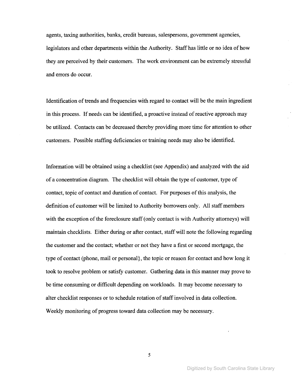agents, taxing authorities, banks, credit bureaus, salespersons, government agencies, legislators and other departments within the Authority. Staffhas little or no idea of how they are perceived by their customers. The work environment can be extremely stressful and errors do occur.

Identification of trends and frequencies with regard to contact will be the main ingredient in this process. If needs can be identified, a proactive instead of reactive approach may be utilized. Contacts can be decreased thereby providing more time for attention to other customers. Possible staffing deficiencies or training needs may also be identified.

Information will be obtained using a checklist (see Appendix) and analyzed with the aid of a concentration diagram. The checklist will obtain the type of customer, type of contact, topic of contact and duration of contact. For purposes ofthis analysis, the -definition of customer will be limited to Authority borrowers only. All staff members with the exception of the foreclosure staff (only contact is with Authority attorneys) will maintain checklists. Either during or after contact, staff will note the following regarding the customer and the contact; whether or not they have a first or second mortgage, the type of contact (phone, mail or personal}, the topic or reason for contact and how long it took to resolve problem or satisfy customer. Gathering data in this manner may prove to be time consuming or difficult depending on workloads. It may become necessary to alter checklist responses or to schedule rotation of staff involved in data collection. Weekly monitoring of progress toward data collection may be necessary.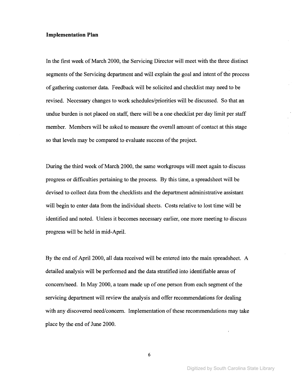#### **Implementation Plan**

In the first week of March 2000, the Servicing Director will meet with the three distinct segments of the Servicing department and will explain the goal and intent of the process of gathering customer data. Feedback will be solicited and checklist may need to be revised. Necessary changes to work schedules/priorities will be discussed. So that an undue burden is not placed on staff, there will be a one checklist per day limit per staff member. Members will be asked to measure the overall amount of contact at this stage so that levels may be compared to evaluate success of the project.

During the third week of March 2000, the same workgroups will meet again to discuss progress or difficulties pertaining to the process. By this time, a spreadsheet will be devised to collect data from the checklists and the department administrative assistant will begin to enter data from the individual sheets. Costs relative to lost time will be identified and noted. Unless it becomes necessary earlier, one more meeting to discuss progress will be held in mid-April.

By the end of April 2000, all data received will be entered into the main spreadsheet. A detailed analysis will be performed and the data stratified into identifiable areas of concern/need. In May 2000, a team made up of one person from each segment of the servicing department will review the analysis and offer recommendations for dealing with any discovered need/concern. Implementation of these recommendations may take place by the end of June 2000.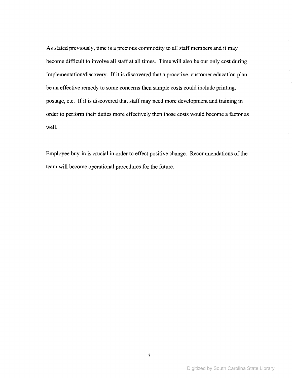As stated previously, time is a precious commodity to all staff members and it may become difficult to involve all staff at all times. Time will also be our only cost during implementation/discovery. If it is discovered that a proactive, customer education plan be an effective remedy to some concerns then sample costs could include printing, postage, etc. If it is discovered that staff may need more development and training in order to perform their duties more effectively then those costs would become a factor as well.

Employee buy-in is crucial in order to effect positive change. Recommendations of the team will become operational procedures for the future.

Digitized by South Carolina State Library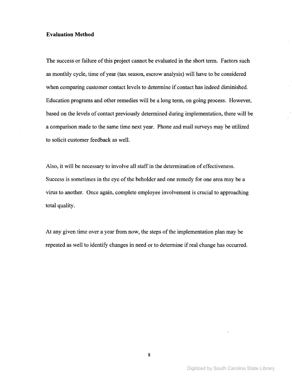#### **Evaluation Method**

The success or failure of this project cannot be evaluated in the short term. Factors such as monthly cycle, time of year (tax season, escrow analysis) will have to be considered when comparing customer contact levels to determine if contact has indeed diminished. Education programs and other remedies will be a long term, on going process. However, based on the levels of contact previously determined during implementation, there will be a comparison made to the same time next year. Phone and mail surveys may be utilized to solicit customer feedback as well.

Also, it will be necessary to involve all staffin the determination of effectiveness. Success is sometimes in the eye of the beholder and one remedy for one area may be a virus to another. Once again, complete employee involvement is crucial to approaching total quality.

At any given time over a year from now, the steps of the implementation plan may be repeated as well to identify changes in need or to determine if real change has occurred.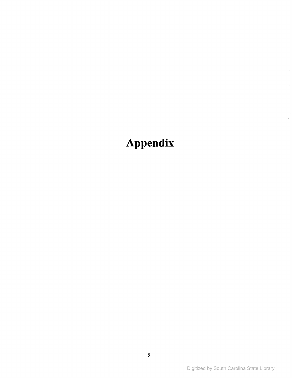# Appendix